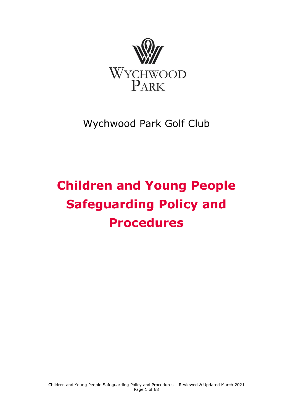

# Wychwood Park Golf Club

# **Children and Young People Safeguarding Policy and Procedures**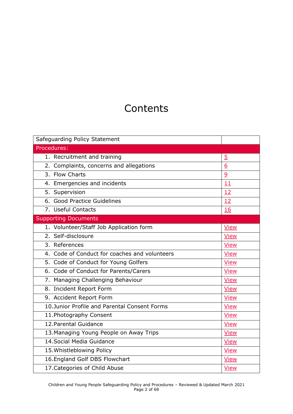## **Contents**

| Safeguarding Policy Statement                          |                 |  |
|--------------------------------------------------------|-----------------|--|
| Procedures:                                            |                 |  |
| 1. Recruitment and training                            | $\overline{5}$  |  |
| 2. Complaints, concerns and allegations                | $\underline{6}$ |  |
| 3. Flow Charts                                         | $\overline{a}$  |  |
| 4. Emergencies and incidents                           | 11              |  |
| 5. Supervision                                         | 12              |  |
| 6. Good Practice Guidelines                            | 12              |  |
| 7. Useful Contacts                                     | <b>16</b>       |  |
| <b>Supporting Documents</b>                            |                 |  |
| 1. Volunteer/Staff Job Application form                | <b>View</b>     |  |
| 2. Self-disclosure                                     | <b>View</b>     |  |
| 3. References                                          | <b>View</b>     |  |
| 4. Code of Conduct for coaches and volunteers          | <b>View</b>     |  |
| 5. Code of Conduct for Young Golfers                   | <b>View</b>     |  |
| 6. Code of Conduct for Parents/Carers                  | <b>View</b>     |  |
| 7. Managing Challenging Behaviour                      | <b>View</b>     |  |
| 8. Incident Report Form                                | <b>View</b>     |  |
| 9. Accident Report Form                                | <b>View</b>     |  |
| 10. Junior Profile and Parental Consent Forms          | <b>View</b>     |  |
| 11. Photography Consent                                | <b>View</b>     |  |
| 12. Parental Guidance                                  | <b>View</b>     |  |
| 13. Managing Young People on Away Trips<br><b>View</b> |                 |  |
| 14. Social Media Guidance<br><b>View</b>               |                 |  |
| 15. Whistleblowing Policy<br><b>View</b>               |                 |  |
| 16. England Golf DBS Flowchart<br><b>View</b>          |                 |  |
| 17. Categories of Child Abuse                          | <b>View</b>     |  |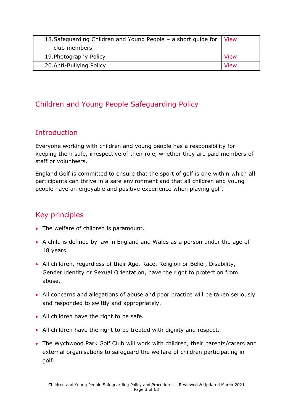| 18. Safeguarding Children and Young People - a short guide for | <b>View</b> |
|----------------------------------------------------------------|-------------|
| club members                                                   |             |
| 19. Photography Policy                                         | View        |
| 20.Anti-Bullying Policy                                        | View        |

### Children and Young People Safeguarding Policy

### **Introduction**

Everyone working with children and young people has a responsibility for keeping them safe, irrespective of their role, whether they are paid members of staff or volunteers.

England Golf is committed to ensure that the sport of golf is one within which all participants can thrive in a safe environment and that all children and young people have an enjoyable and positive experience when playing golf.

### Key principles

- The welfare of children is paramount.
- A child is defined by law in England and Wales as a person under the age of 18 years.
- All children, regardless of their Age, Race, Religion or Belief, Disability, Gender identity or Sexual Orientation, have the right to protection from abuse.
- All concerns and allegations of abuse and poor practice will be taken seriously and responded to swiftly and appropriately.
- All children have the right to be safe.
- All children have the right to be treated with dignity and respect.
- The Wychwood Park Golf Club will work with children, their parents/carers and external organisations to safeguard the welfare of children participating in golf.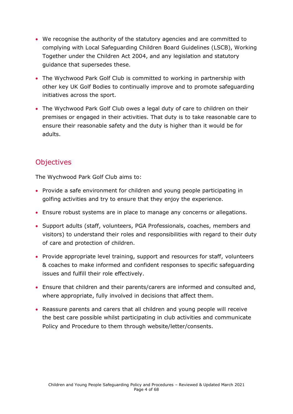- We recognise the authority of the statutory agencies and are committed to complying with Local Safeguarding Children Board Guidelines (LSCB), Working Together under the Children Act 2004, and any legislation and statutory guidance that supersedes these.
- The Wychwood Park Golf Club is committed to working in partnership with other key UK Golf Bodies to continually improve and to promote safeguarding initiatives across the sport.
- The Wychwood Park Golf Club owes a legal duty of care to children on their premises or engaged in their activities. That duty is to take reasonable care to ensure their reasonable safety and the duty is higher than it would be for adults.

### **Objectives**

The Wychwood Park Golf Club aims to:

- Provide a safe environment for children and young people participating in golfing activities and try to ensure that they enjoy the experience.
- Ensure robust systems are in place to manage any concerns or allegations.
- Support adults (staff, volunteers, PGA Professionals, coaches, members and visitors) to understand their roles and responsibilities with regard to their duty of care and protection of children.
- Provide appropriate level training, support and resources for staff, volunteers & coaches to make informed and confident responses to specific safeguarding issues and fulfill their role effectively.
- Ensure that children and their parents/carers are informed and consulted and, where appropriate, fully involved in decisions that affect them.
- Reassure parents and carers that all children and young people will receive the best care possible whilst participating in club activities and communicate Policy and Procedure to them through website/letter/consents.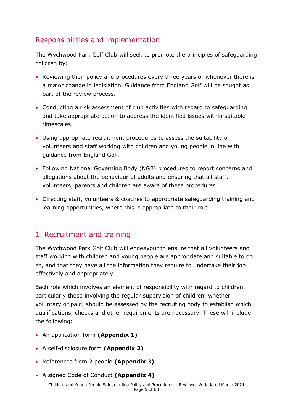### Responsibilities and implementation

The Wychwood Park Golf Club will seek to promote the principles of safeguarding children by:

- Reviewing their policy and procedures every three years or whenever there is a major change in legislation. Guidance from England Golf will be sought as part of the review process.
- Conducting a risk assessment of club activities with regard to safeguarding and take appropriate action to address the identified issues within suitable timescales.
- Using appropriate recruitment procedures to assess the suitability of volunteers and staff working with children and young people in line with guidance from England Golf.
- Following National Governing Body (NGB) procedures to report concerns and allegations about the behaviour of adults and ensuring that all staff, volunteers, parents and children are aware of these procedures.
- Directing staff, volunteers & coaches to appropriate safeguarding training and learning opportunities, where this is appropriate to their role.

### <span id="page-4-0"></span>1. Recruitment and training

The Wychwood Park Golf Club will endeavour to ensure that all volunteers and staff working with children and young people are appropriate and suitable to do so, and that they have all the information they require to undertake their job effectively and appropriately.

Each role which involves an element of responsibility with regard to children, particularly those involving the regular supervision of children, whether voluntary or paid, should be assessed by the recruiting body to establish which qualifications, checks and other requirements are necessary. These will include the following:

- An application form **(Appendix 1)**
- A self-disclosure form **(Appendix 2)**
- References from 2 people **(Appendix 3)**
- A signed Code of Conduct **(Appendix 4)**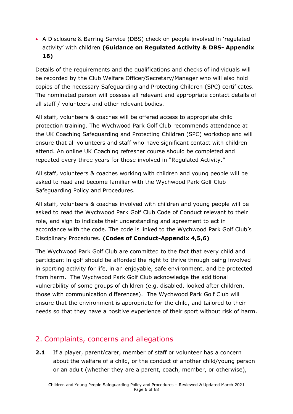• A Disclosure & Barring Service (DBS) check on people involved in 'regulated activity' with children **(Guidance on Regulated Activity & DBS- Appendix 16)**

Details of the requirements and the qualifications and checks of individuals will be recorded by the Club Welfare Officer/Secretary/Manager who will also hold copies of the necessary Safeguarding and Protecting Children (SPC) certificates. The nominated person will possess all relevant and appropriate contact details of all staff / volunteers and other relevant bodies.

All staff, volunteers & coaches will be offered access to appropriate child protection training. The Wychwood Park Golf Club recommends attendance at the UK Coaching Safeguarding and Protecting Children (SPC) workshop and will ensure that all volunteers and staff who have significant contact with children attend. An online UK Coaching refresher course should be completed and repeated every three years for those involved in "Regulated Activity."

All staff, volunteers & coaches working with children and young people will be asked to read and become familiar with the Wychwood Park Golf Club Safeguarding Policy and Procedures.

All staff, volunteers & coaches involved with children and young people will be asked to read the Wychwood Park Golf Club Code of Conduct relevant to their role, and sign to indicate their understanding and agreement to act in accordance with the code. The code is linked to the Wychwood Park Golf Club's Disciplinary Procedures. **(Codes of Conduct-Appendix 4,5,6)**

The Wychwood Park Golf Club are committed to the fact that every child and participant in golf should be afforded the right to thrive through being involved in sporting activity for life, in an enjoyable, safe environment, and be protected from harm. The Wychwood Park Golf Club acknowledge the additional vulnerability of some groups of children (e.g. disabled, looked after children, those with communication differences). The Wychwood Park Golf Club will ensure that the environment is appropriate for the child, and tailored to their needs so that they have a positive experience of their sport without risk of harm.

### <span id="page-5-0"></span>2. Complaints, concerns and allegations

**2.1** If a player, parent/carer, member of staff or volunteer has a concern about the welfare of a child, or the conduct of another child/young person or an adult (whether they are a parent, coach, member, or otherwise),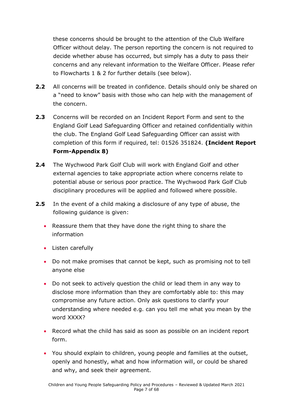these concerns should be brought to the attention of the Club Welfare Officer without delay. The person reporting the concern is not required to decide whether abuse has occurred, but simply has a duty to pass their concerns and any relevant information to the Welfare Officer. Please refer to Flowcharts 1 & 2 for further details (see below).

- **2.2** All concerns will be treated in confidence. Details should only be shared on a "need to know" basis with those who can help with the management of the concern.
- **2.3** Concerns will be recorded on an Incident Report Form and sent to the England Golf Lead Safeguarding Officer and retained confidentially within the club. The England Golf Lead Safeguarding Officer can assist with completion of this form if required, tel: 01526 351824. **(Incident Report Form-Appendix 8)**
- **2.4** The Wychwood Park Golf Club will work with England Golf and other external agencies to take appropriate action where concerns relate to potential abuse or serious poor practice. The Wychwood Park Golf Club disciplinary procedures will be applied and followed where possible.
- **2.5** In the event of a child making a disclosure of any type of abuse, the following guidance is given:
	- Reassure them that they have done the right thing to share the information
	- Listen carefully
	- Do not make promises that cannot be kept, such as promising not to tell anyone else
	- Do not seek to actively question the child or lead them in any way to disclose more information than they are comfortably able to: this may compromise any future action. Only ask questions to clarify your understanding where needed e.g. can you tell me what you mean by the word XXXX?
	- Record what the child has said as soon as possible on an incident report form.
	- You should explain to children, young people and families at the outset, openly and honestly, what and how information will, or could be shared and why, and seek their agreement.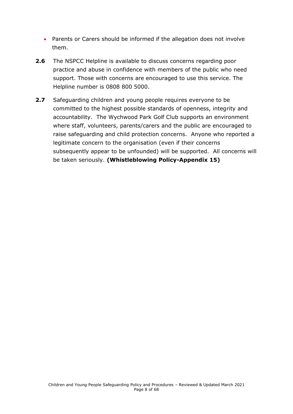- Parents or Carers should be informed if the allegation does not involve them.
- **2.6** The NSPCC Helpline is available to discuss concerns regarding poor practice and abuse in confidence with members of the public who need support. Those with concerns are encouraged to use this service. The Helpline number is 0808 800 5000.
- <span id="page-7-0"></span>**2.7** Safeguarding children and young people requires everyone to be committed to the highest possible standards of openness, integrity and accountability. The Wychwood Park Golf Club supports an environment where staff, volunteers, parents/carers and the public are encouraged to raise safeguarding and child protection concerns. Anyone who reported a legitimate concern to the organisation (even if their concerns subsequently appear to be unfounded) will be supported. All concerns will be taken seriously. **(Whistleblowing Policy-Appendix 15)**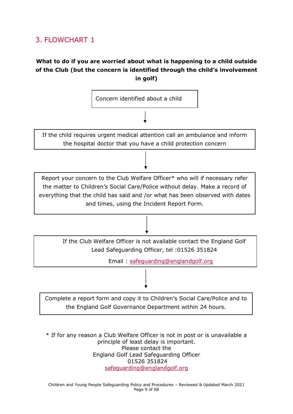### 3. FLOWCHART 1

#### **What to do if you are worried about what is happening to a child outside of the Club (but the concern is identified through the child's involvement in golf)**



\* If for any reason a Club Welfare Officer is not in post or is unavailable a principle of least delay is important. Please contact the England Golf Lead Safeguarding Officer 01526 351824 [safeguarding@englandgolf.org](mailto:safeguarding@englandgolf.org)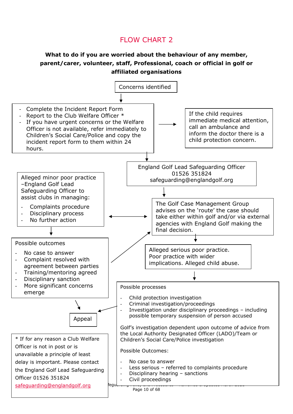### FLOW CHART 2

#### **What to do if you are worried about the behaviour of any member, parent/carer, volunteer, staff, Professional, coach or official in golf or affiliated organisations**

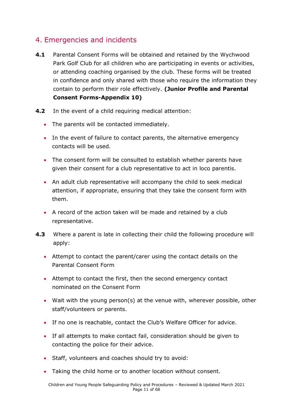### <span id="page-10-0"></span>4. Emergencies and incidents

- **4.1** Parental Consent Forms will be obtained and retained by the Wychwood Park Golf Club for all children who are participating in events or activities, or attending coaching organised by the club. These forms will be treated in confidence and only shared with those who require the information they contain to perform their role effectively. **(Junior Profile and Parental Consent Forms-Appendix 10)**
- **4.2** In the event of a child requiring medical attention:
	- The parents will be contacted immediately.
	- In the event of failure to contact parents, the alternative emergency contacts will be used.
	- The consent form will be consulted to establish whether parents have given their consent for a club representative to act in loco parentis.
	- An adult club representative will accompany the child to seek medical attention, if appropriate, ensuring that they take the consent form with them.
	- A record of the action taken will be made and retained by a club representative.
- **4.3** Where a parent is late in collecting their child the following procedure will apply:
	- Attempt to contact the parent/carer using the contact details on the Parental Consent Form
	- Attempt to contact the first, then the second emergency contact nominated on the Consent Form
	- Wait with the young person(s) at the venue with, wherever possible, other staff/volunteers or parents.
	- If no one is reachable, contact the Club's Welfare Officer for advice.
	- If all attempts to make contact fail, consideration should be given to contacting the police for their advice.
	- Staff, volunteers and coaches should try to avoid:
	- Taking the child home or to another location without consent.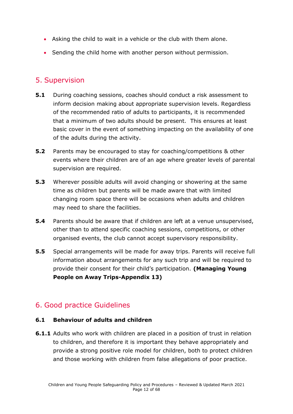- Asking the child to wait in a vehicle or the club with them alone.
- Sending the child home with another person without permission.

### <span id="page-11-0"></span>5. Supervision

- **5.1** During coaching sessions, coaches should conduct a risk assessment to inform decision making about appropriate supervision levels. Regardless of the recommended ratio of adults to participants, it is recommended that a minimum of two adults should be present. This ensures at least basic cover in the event of something impacting on the availability of one of the adults during the activity.
- **5.2** Parents may be encouraged to stay for coaching/competitions & other events where their children are of an age where greater levels of parental supervision are required.
- **5.3** Wherever possible adults will avoid changing or showering at the same time as children but parents will be made aware that with limited changing room space there will be occasions when adults and children may need to share the facilities.
- **5.4** Parents should be aware that if children are left at a venue unsupervised, other than to attend specific coaching sessions, competitions, or other organised events, the club cannot accept supervisory responsibility.
- **5.5** Special arrangements will be made for away trips. Parents will receive full information about arrangements for any such trip and will be required to provide their consent for their child's participation. **(Managing Young People on Away Trips-Appendix 13)**

### <span id="page-11-1"></span>6. Good practice Guidelines

#### **6.1 Behaviour of adults and children**

**6.1.1** Adults who work with children are placed in a position of trust in relation to children, and therefore it is important they behave appropriately and provide a strong positive role model for children, both to protect children and those working with children from false allegations of poor practice.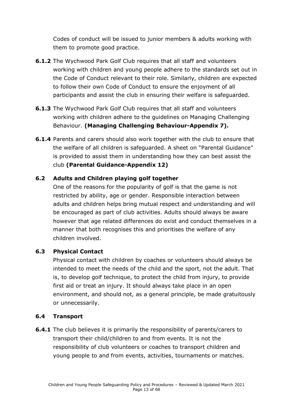Codes of conduct will be issued to junior members & adults working with them to promote good practice.

- **6.1.2** The Wychwood Park Golf Club requires that all staff and volunteers working with children and young people adhere to the standards set out in the Code of Conduct relevant to their role. Similarly, children are expected to follow their own Code of Conduct to ensure the enjoyment of all participants and assist the club in ensuring their welfare is safeguarded.
- **6.1.3** The Wychwood Park Golf Club requires that all staff and volunteers working with children adhere to the guidelines on Managing Challenging Behaviour. **(Managing Challenging Behaviour-Appendix 7).**
- **6.1.4** Parents and carers should also work together with the club to ensure that the welfare of all children is safeguarded. A sheet on "Parental Guidance" is provided to assist them in understanding how they can best assist the club **(Parental Guidance-Appendix 12)**

#### **6.2 Adults and Children playing golf together**

One of the reasons for the popularity of golf is that the game is not restricted by ability, age or gender. Responsible interaction between adults and children helps bring mutual respect and understanding and will be encouraged as part of club activities. Adults should always be aware however that age related differences do exist and conduct themselves in a manner that both recognises this and prioritises the welfare of any children involved.

#### **6.3 Physical Contact**

Physical contact with children by coaches or volunteers should always be intended to meet the needs of the child and the sport, not the adult. That is, to develop golf technique, to protect the child from injury, to provide first aid or treat an injury. It should always take place in an open environment, and should not, as a general principle, be made gratuitously or unnecessarily.

#### **6.4 Transport**

**6.4.1** The club believes it is primarily the responsibility of parents/carers to transport their child/children to and from events. It is not the responsibility of club volunteers or coaches to transport children and young people to and from events, activities, tournaments or matches.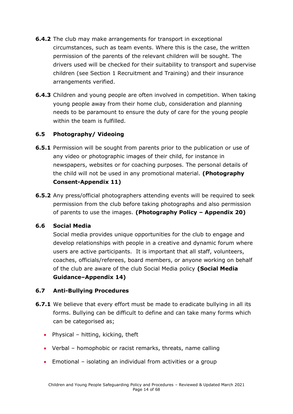- **6.4.2** The club may make arrangements for transport in exceptional circumstances, such as team events. Where this is the case, the written permission of the parents of the relevant children will be sought. The drivers used will be checked for their suitability to transport and supervise children (see Section 1 Recruitment and Training) and their insurance arrangements verified.
- **6.4.3** Children and young people are often involved in competition. When taking young people away from their home club, consideration and planning needs to be paramount to ensure the duty of care for the young people within the team is fulfilled.

#### **6.5 Photography/ Videoing**

- **6.5.1** Permission will be sought from parents prior to the publication or use of any video or photographic images of their child, for instance in newspapers, websites or for coaching purposes. The personal details of the child will not be used in any promotional material. **(Photography Consent-Appendix 11)**
- **6.5.2** Any press/official photographers attending events will be required to seek permission from the club before taking photographs and also permission of parents to use the images. **(Photography Policy – Appendix 20)**

#### **6.6 Social Media**

Social media provides unique opportunities for the club to engage and develop relationships with people in a creative and dynamic forum where users are active participants. It is important that all staff, volunteers, coaches, officials/referees, board members, or anyone working on behalf of the club are aware of the club Social Media policy **(Social Media Guidance–Appendix 14)**

#### **6.7 Anti-Bullying Procedures**

- **6.7.1** We believe that every effort must be made to eradicate bullying in all its forms. Bullying can be difficult to define and can take many forms which can be categorised as;
	- Physical hitting, kicking, theft
	- Verbal homophobic or racist remarks, threats, name calling
	- Emotional isolating an individual from activities or a group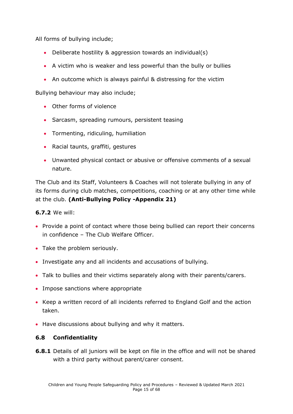All forms of bullying include;

- Deliberate hostility & aggression towards an individual(s)
- A victim who is weaker and less powerful than the bully or bullies
- An outcome which is always painful & distressing for the victim

Bullying behaviour may also include;

- Other forms of violence
- Sarcasm, spreading rumours, persistent teasing
- Tormenting, ridiculing, humiliation
- Racial taunts, graffiti, gestures
- Unwanted physical contact or abusive or offensive comments of a sexual nature.

The Club and its Staff, Volunteers & Coaches will not tolerate bullying in any of its forms during club matches, competitions, coaching or at any other time while at the club. **(Anti-Bullying Policy -Appendix 21)**

#### **6.7.2** We will:

- Provide a point of contact where those being bullied can report their concerns in confidence – The Club Welfare Officer.
- Take the problem seriously.
- Investigate any and all incidents and accusations of bullying.
- Talk to bullies and their victims separately along with their parents/carers.
- Impose sanctions where appropriate
- Keep a written record of all incidents referred to England Golf and the action taken.
- Have discussions about bullying and why it matters.

#### **6.8 Confidentiality**

**6.8.1** Details of all juniors will be kept on file in the office and will not be shared with a third party without parent/carer consent.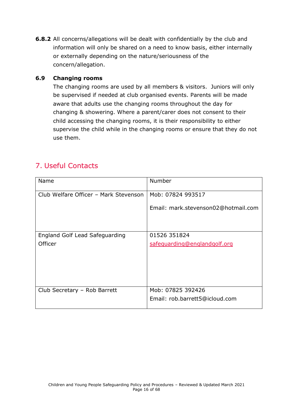**6.8.2** All concerns/allegations will be dealt with confidentially by the club and information will only be shared on a need to know basis, either internally or externally depending on the nature/seriousness of the concern/allegation.

#### **6.9 Changing rooms**

The changing rooms are used by all members & visitors. Juniors will only be supervised if needed at club organised events. Parents will be made aware that adults use the changing rooms throughout the day for changing & showering. Where a parent/carer does not consent to their child accessing the changing rooms, it is their responsibility to either supervise the child while in the changing rooms or ensure that they do not use them.

### <span id="page-15-0"></span>7. Useful Contacts

| Name                                  | Number                              |
|---------------------------------------|-------------------------------------|
| Club Welfare Officer - Mark Stevenson | Mob: 07824 993517                   |
|                                       | Email: mark.stevenson02@hotmail.com |
| <b>England Golf Lead Safeguarding</b> | 01526 351824                        |
| Officer                               | safeguarding@englandgolf.org        |
| Club Secretary - Rob Barrett          | Mob: 07825 392426                   |
|                                       | Email: rob.barrett5@icloud.com      |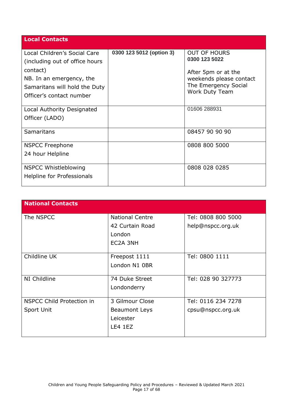| <b>Local Contacts</b>          |                          |                                               |
|--------------------------------|--------------------------|-----------------------------------------------|
| Local Children's Social Care   | 0300 123 5012 (option 3) | <b>OUT OF HOURS</b>                           |
| (including out of office hours |                          | 0300 123 5022                                 |
| contact)                       |                          | After 5pm or at the                           |
| NB. In an emergency, the       |                          | weekends please contact                       |
| Samaritans will hold the Duty  |                          | The Emergency Social<br><b>Work Duty Team</b> |
| Officer's contact number       |                          |                                               |
| Local Authority Designated     |                          | 01606 288931                                  |
| Officer (LADO)                 |                          |                                               |
|                                |                          |                                               |
| <b>Samaritans</b>              |                          | 08457 90 90 90                                |
| <b>NSPCC Freephone</b>         |                          | 0808 800 5000                                 |
| 24 hour Helpline               |                          |                                               |
|                                |                          |                                               |
| <b>NSPCC Whistleblowing</b>    |                          | 0808 028 0285                                 |
| Helpline for Professionals     |                          |                                               |
|                                |                          |                                               |

| <b>National Contacts</b>  |                        |                    |
|---------------------------|------------------------|--------------------|
| The NSPCC                 | <b>National Centre</b> | Tel: 0808 800 5000 |
|                           | 42 Curtain Road        | help@nspcc.org.uk  |
|                           | London                 |                    |
|                           | EC2A 3NH               |                    |
|                           |                        |                    |
| Childline UK              | Freepost 1111          | Tel: 0800 1111     |
|                           | London N1 OBR          |                    |
| NI Childline              | 74 Duke Street         | Tel: 028 90 327773 |
|                           | Londonderry            |                    |
|                           |                        |                    |
| NSPCC Child Protection in | 3 Gilmour Close        | Tel: 0116 234 7278 |
| Sport Unit                | Beaumont Leys          | cpsu@nspcc.org.uk  |
|                           | Leicester              |                    |
|                           | LE4 1EZ                |                    |
|                           |                        |                    |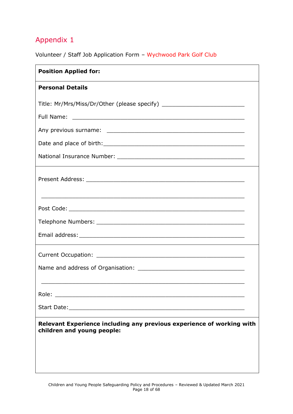<span id="page-17-0"></span>Volunteer / Staff Job Application Form – Wychwood Park Golf Club

| <b>Position Applied for:</b>                                                                                          |
|-----------------------------------------------------------------------------------------------------------------------|
| <b>Personal Details</b>                                                                                               |
| Title: Mr/Mrs/Miss/Dr/Other (please specify) ___________________________________                                      |
|                                                                                                                       |
|                                                                                                                       |
|                                                                                                                       |
|                                                                                                                       |
|                                                                                                                       |
|                                                                                                                       |
| <u> 1989 - Johann Stoff, deutscher Stoff, der Stoff, der Stoff, der Stoff, der Stoff, der Stoff, der Stoff, der S</u> |
|                                                                                                                       |
|                                                                                                                       |
|                                                                                                                       |
|                                                                                                                       |
|                                                                                                                       |
|                                                                                                                       |
| Role:                                                                                                                 |
|                                                                                                                       |
| Relevant Experience including any previous experience of working with<br>children and young people:                   |
|                                                                                                                       |
|                                                                                                                       |
|                                                                                                                       |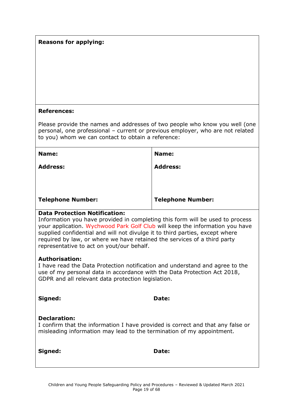#### **Reasons for applying:**

#### **References:**

Please provide the names and addresses of two people who know you well (one personal, one professional – current or previous employer, who are not related to you) whom we can contact to obtain a reference:

| Name:                    | Name:                    |
|--------------------------|--------------------------|
| <b>Address:</b>          | <b>Address:</b>          |
|                          |                          |
|                          |                          |
| <b>Telephone Number:</b> | <b>Telephone Number:</b> |

#### **Data Protection Notification:**

Information you have provided in completing this form will be used to process your application. Wychwood Park Golf Club will keep the information you have supplied confidential and will not divulge it to third parties, except where required by law, or where we have retained the services of a third party representative to act on yout/our behalf.

#### **Authorisation:**

I have read the Data Protection notification and understand and agree to the use of my personal data in accordance with the Data Protection Act 2018, GDPR and all relevant data protection legislation.

| Signed:             | Date:                                                                                                                                                    |  |
|---------------------|----------------------------------------------------------------------------------------------------------------------------------------------------------|--|
| <b>Declaration:</b> | I confirm that the information I have provided is correct and that any false or<br>misleading information may lead to the termination of my appointment. |  |
| Signed:             | <b>Date:</b>                                                                                                                                             |  |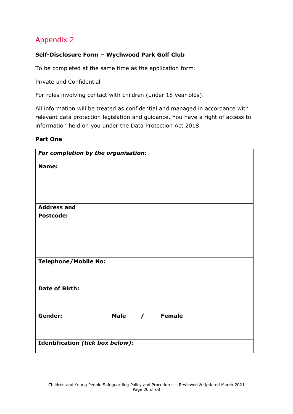#### <span id="page-19-0"></span>**Self-Disclosure Form – Wychwood Park Golf Club**

To be completed at the same time as the application form:

Private and Confidential

For roles involving contact with children (under 18 year olds).

All information will be treated as confidential and managed in accordance with relevant data protection legislation and guidance. You have a right of access to information held on you under the Data Protection Act 2018.

#### **Part One**

| For completion by the organisation: |             |            |               |  |
|-------------------------------------|-------------|------------|---------------|--|
| Name:                               |             |            |               |  |
|                                     |             |            |               |  |
|                                     |             |            |               |  |
| <b>Address and</b>                  |             |            |               |  |
| <b>Postcode:</b>                    |             |            |               |  |
|                                     |             |            |               |  |
|                                     |             |            |               |  |
|                                     |             |            |               |  |
|                                     |             |            |               |  |
| <b>Telephone/Mobile No:</b>         |             |            |               |  |
|                                     |             |            |               |  |
|                                     |             |            |               |  |
| <b>Date of Birth:</b>               |             |            |               |  |
|                                     |             |            |               |  |
|                                     |             |            |               |  |
| Gender:                             | <b>Male</b> | $\sqrt{ }$ | <b>Female</b> |  |
|                                     |             |            |               |  |
|                                     |             |            |               |  |
| Identification (tick box below):    |             |            |               |  |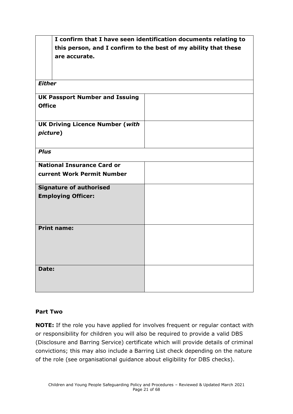|                                        | I confirm that I have seen identification documents relating to |  |
|----------------------------------------|-----------------------------------------------------------------|--|
|                                        | this person, and I confirm to the best of my ability that these |  |
| are accurate.                          |                                                                 |  |
|                                        |                                                                 |  |
|                                        |                                                                 |  |
|                                        |                                                                 |  |
| <b>Either</b>                          |                                                                 |  |
| <b>UK Passport Number and Issuing</b>  |                                                                 |  |
| <b>Office</b>                          |                                                                 |  |
|                                        |                                                                 |  |
|                                        |                                                                 |  |
| <b>UK Driving Licence Number (with</b> |                                                                 |  |
| picture)                               |                                                                 |  |
|                                        |                                                                 |  |
| <b>Plus</b>                            |                                                                 |  |
|                                        |                                                                 |  |
| <b>National Insurance Card or</b>      |                                                                 |  |
| current Work Permit Number             |                                                                 |  |
| <b>Signature of authorised</b>         |                                                                 |  |
| <b>Employing Officer:</b>              |                                                                 |  |
|                                        |                                                                 |  |
|                                        |                                                                 |  |
|                                        |                                                                 |  |
| <b>Print name:</b>                     |                                                                 |  |
|                                        |                                                                 |  |
|                                        |                                                                 |  |
|                                        |                                                                 |  |
|                                        |                                                                 |  |
| Date:                                  |                                                                 |  |
|                                        |                                                                 |  |
|                                        |                                                                 |  |
|                                        |                                                                 |  |

#### **Part Two**

**NOTE:** If the role you have applied for involves frequent or regular contact with or responsibility for children you will also be required to provide a valid DBS (Disclosure and Barring Service) certificate which will provide details of criminal convictions; this may also include a Barring List check depending on the nature of the role (see organisational guidance about eligibility for DBS checks).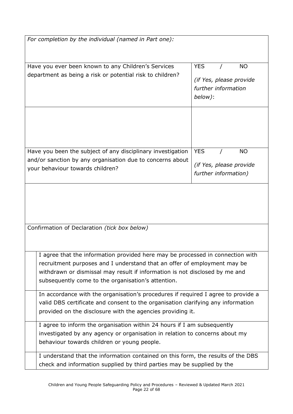| For completion by the individual (named in Part one):                                                                                                                                                                                                                                           |                                                                                      |  |
|-------------------------------------------------------------------------------------------------------------------------------------------------------------------------------------------------------------------------------------------------------------------------------------------------|--------------------------------------------------------------------------------------|--|
| Have you ever been known to any Children's Services<br>department as being a risk or potential risk to children?                                                                                                                                                                                | <b>YES</b><br><b>NO</b><br>(if Yes, please provide<br>further information<br>below): |  |
| Have you been the subject of any disciplinary investigation<br>and/or sanction by any organisation due to concerns about<br>your behaviour towards children?                                                                                                                                    | <b>YES</b><br><b>NO</b><br>(if Yes, please provide<br>further information)           |  |
| Confirmation of Declaration (tick box below)                                                                                                                                                                                                                                                    |                                                                                      |  |
| I agree that the information provided here may be processed in connection with<br>recruitment purposes and I understand that an offer of employment may be<br>withdrawn or dismissal may result if information is not disclosed by me and<br>subsequently come to the organisation's attention. |                                                                                      |  |
| In accordance with the organisation's procedures if required I agree to provide a<br>valid DBS certificate and consent to the organisation clarifying any information<br>provided on the disclosure with the agencies providing it.                                                             |                                                                                      |  |
| I agree to inform the organisation within 24 hours if I am subsequently<br>investigated by any agency or organisation in relation to concerns about my<br>behaviour towards children or young people.                                                                                           |                                                                                      |  |
| I understand that the information contained on this form, the results of the DBS<br>check and information supplied by third parties may be supplied by the                                                                                                                                      |                                                                                      |  |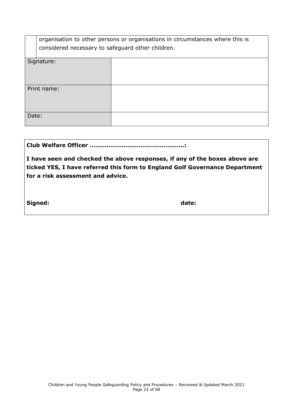|       | organisation to other persons or organisations in circumstances where this is<br>considered necessary to safeguard other children. |  |  |
|-------|------------------------------------------------------------------------------------------------------------------------------------|--|--|
|       | Signature:                                                                                                                         |  |  |
|       | Print name:                                                                                                                        |  |  |
| Date: |                                                                                                                                    |  |  |

|--|--|

**I have seen and checked the above responses, if any of the boxes above are ticked YES, I have referred this form to England Golf Governance Department for a risk assessment and advice.**

**Signed: date:**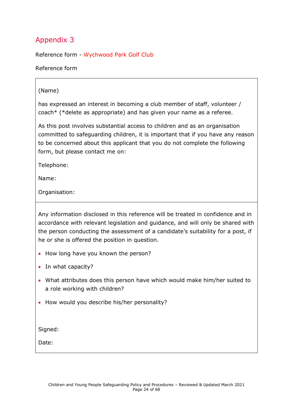<span id="page-23-0"></span>Reference form - Wychwood Park Golf Club

Reference form

#### (Name)

has expressed an interest in becoming a club member of staff, volunteer / coach\* (\*delete as appropriate) and has given your name as a referee.

As this post involves substantial access to children and as an organisation committed to safeguarding children, it is important that if you have any reason to be concerned about this applicant that you do not complete the following form, but please contact me on:

Telephone:

Name:

Organisation:

Any information disclosed in this reference will be treated in confidence and in accordance with relevant legislation and guidance, and will only be shared with the person conducting the assessment of a candidate's suitability for a post, if he or she is offered the position in question.

- How long have you known the person?
- In what capacity?
- What attributes does this person have which would make him/her suited to a role working with children?
- How would you describe his/her personality?

Signed:

Date: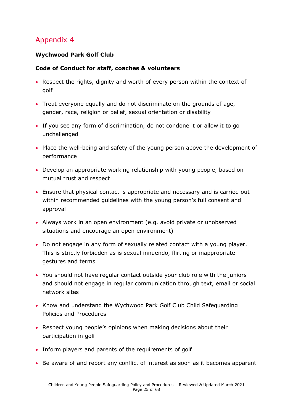#### <span id="page-24-0"></span>**Wychwood Park Golf Club**

#### **Code of Conduct for staff, coaches & volunteers**

- Respect the rights, dignity and worth of every person within the context of golf
- Treat everyone equally and do not discriminate on the grounds of age, gender, race, religion or belief, sexual orientation or disability
- If you see any form of discrimination, do not condone it or allow it to go unchallenged
- Place the well-being and safety of the young person above the development of performance
- Develop an appropriate working relationship with young people, based on mutual trust and respect
- Ensure that physical contact is appropriate and necessary and is carried out within recommended guidelines with the young person's full consent and approval
- Always work in an open environment (e.g. avoid private or unobserved situations and encourage an open environment)
- Do not engage in any form of sexually related contact with a young player. This is strictly forbidden as is sexual innuendo, flirting or inappropriate gestures and terms
- You should not have regular contact outside your club role with the juniors and should not engage in regular communication through text, email or social network sites
- Know and understand the Wychwood Park Golf Club Child Safeguarding Policies and Procedures
- Respect young people's opinions when making decisions about their participation in golf
- Inform players and parents of the requirements of golf
- Be aware of and report any conflict of interest as soon as it becomes apparent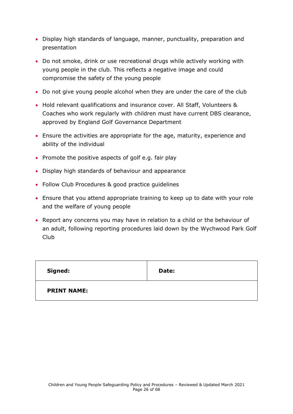- Display high standards of language, manner, punctuality, preparation and presentation
- Do not smoke, drink or use recreational drugs while actively working with young people in the club. This reflects a negative image and could compromise the safety of the young people
- Do not give young people alcohol when they are under the care of the club
- Hold relevant qualifications and insurance cover. All Staff, Volunteers & Coaches who work regularly with children must have current DBS clearance, approved by England Golf Governance Department
- Ensure the activities are appropriate for the age, maturity, experience and ability of the individual
- Promote the positive aspects of golf e.g. fair play
- Display high standards of behaviour and appearance
- Follow Club Procedures & good practice guidelines
- Ensure that you attend appropriate training to keep up to date with your role and the welfare of young people
- Report any concerns you may have in relation to a child or the behaviour of an adult, following reporting procedures laid down by the Wychwood Park Golf Club

| Signed:            | Date: |
|--------------------|-------|
| <b>PRINT NAME:</b> |       |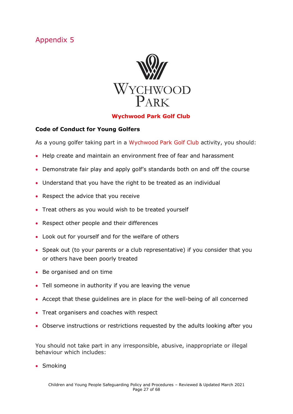<span id="page-26-0"></span>

#### **Wychwood Park Golf Club**

#### **Code of Conduct for Young Golfers**

As a young golfer taking part in a Wychwood Park Golf Club activity, you should:

- Help create and maintain an environment free of fear and harassment
- Demonstrate fair play and apply golf's standards both on and off the course
- Understand that you have the right to be treated as an individual
- Respect the advice that you receive
- Treat others as you would wish to be treated yourself
- Respect other people and their differences
- Look out for yourself and for the welfare of others
- Speak out (to your parents or a club representative) if you consider that you or others have been poorly treated
- Be organised and on time
- Tell someone in authority if you are leaving the venue
- Accept that these guidelines are in place for the well-being of all concerned
- Treat organisers and coaches with respect
- Observe instructions or restrictions requested by the adults looking after you

You should not take part in any irresponsible, abusive, inappropriate or illegal behaviour which includes:

• Smoking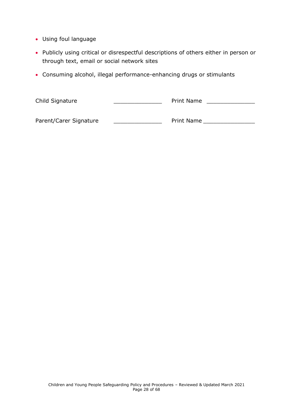- Using foul language
- Publicly using critical or disrespectful descriptions of others either in person or through text, email or social network sites
- Consuming alcohol, illegal performance-enhancing drugs or stimulants

| Child Signature | Print Name |  |
|-----------------|------------|--|
|                 |            |  |

Parent/Carer Signature \_\_\_\_\_\_\_\_\_\_\_\_\_\_\_\_\_\_\_\_\_\_\_ Print Name \_\_\_\_\_\_\_\_\_\_\_\_\_\_\_\_\_\_\_\_\_\_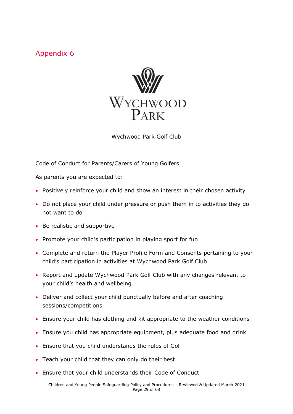<span id="page-28-0"></span>

Wychwood Park Golf Club

Code of Conduct for Parents/Carers of Young Golfers

As parents you are expected to:

- Positively reinforce your child and show an interest in their chosen activity
- Do not place your child under pressure or push them in to activities they do not want to do
- Be realistic and supportive
- Promote your child's participation in playing sport for fun
- Complete and return the Player Profile Form and Consents pertaining to your child's participation in activities at Wychwood Park Golf Club
- Report and update Wychwood Park Golf Club with any changes relevant to your child's health and wellbeing
- Deliver and collect your child punctually before and after coaching sessions/competitions
- Ensure your child has clothing and kit appropriate to the weather conditions
- Ensure you child has appropriate equipment, plus adequate food and drink
- Ensure that you child understands the rules of Golf
- Teach your child that they can only do their best
- Ensure that your child understands their Code of Conduct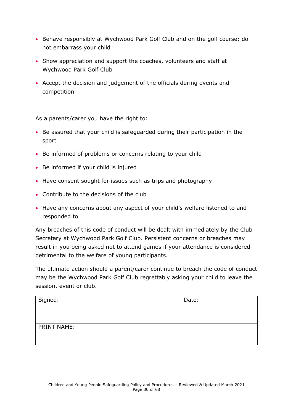- Behave responsibly at Wychwood Park Golf Club and on the golf course; do not embarrass your child
- Show appreciation and support the coaches, volunteers and staff at Wychwood Park Golf Club
- Accept the decision and judgement of the officials during events and competition

As a parents/carer you have the right to:

- Be assured that your child is safeguarded during their participation in the sport
- Be informed of problems or concerns relating to your child
- Be informed if your child is injured
- Have consent sought for issues such as trips and photography
- Contribute to the decisions of the club
- Have any concerns about any aspect of your child's welfare listened to and responded to

Any breaches of this code of conduct will be dealt with immediately by the Club Secretary at Wychwood Park Golf Club. Persistent concerns or breaches may result in you being asked not to attend games if your attendance is considered detrimental to the welfare of young participants.

The ultimate action should a parent/carer continue to breach the code of conduct may be the Wychwood Park Golf Club regrettably asking your child to leave the session, event or club.

| Signed:     | Date: |
|-------------|-------|
|             |       |
|             |       |
| PRINT NAME: |       |
|             |       |
|             |       |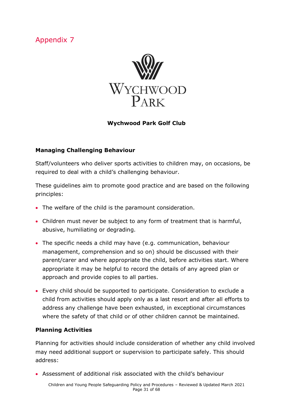

#### **Wychwood Park Golf Club**

#### **Managing Challenging Behaviour**

Staff/volunteers who deliver sports activities to children may, on occasions, be required to deal with a child's challenging behaviour.

These guidelines aim to promote good practice and are based on the following principles:

- The welfare of the child is the paramount consideration.
- Children must never be subject to any form of treatment that is harmful, abusive, humiliating or degrading.
- The specific needs a child may have (e.g. communication, behaviour management, comprehension and so on) should be discussed with their parent/carer and where appropriate the child, before activities start. Where appropriate it may be helpful to record the details of any agreed plan or approach and provide copies to all parties.
- Every child should be supported to participate. Consideration to exclude a child from activities should apply only as a last resort and after all efforts to address any challenge have been exhausted, in exceptional circumstances where the safety of that child or of other children cannot be maintained.

#### **Planning Activities**

Planning for activities should include consideration of whether any child involved may need additional support or supervision to participate safely. This should address:

• Assessment of additional risk associated with the child's behaviour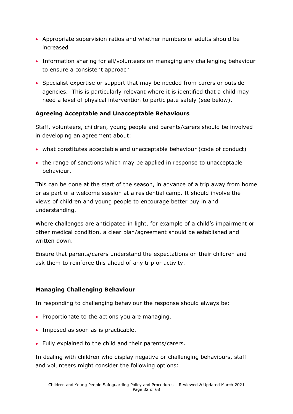- Appropriate supervision ratios and whether numbers of adults should be increased
- Information sharing for all/volunteers on managing any challenging behaviour to ensure a consistent approach
- Specialist expertise or support that may be needed from carers or outside agencies. This is particularly relevant where it is identified that a child may need a level of physical intervention to participate safely (see below).

#### **Agreeing Acceptable and Unacceptable Behaviours**

Staff, volunteers, children, young people and parents/carers should be involved in developing an agreement about:

- what constitutes acceptable and unacceptable behaviour (code of conduct)
- the range of sanctions which may be applied in response to unacceptable behaviour.

This can be done at the start of the season, in advance of a trip away from home or as part of a welcome session at a residential camp. It should involve the views of children and young people to encourage better buy in and understanding.

Where challenges are anticipated in light, for example of a child's impairment or other medical condition, a clear plan/agreement should be established and written down.

Ensure that parents/carers understand the expectations on their children and ask them to reinforce this ahead of any trip or activity.

#### **Managing Challenging Behaviour**

In responding to challenging behaviour the response should always be:

- Proportionate to the actions you are managing.
- Imposed as soon as is practicable.
- Fully explained to the child and their parents/carers.

In dealing with children who display negative or challenging behaviours, staff and volunteers might consider the following options: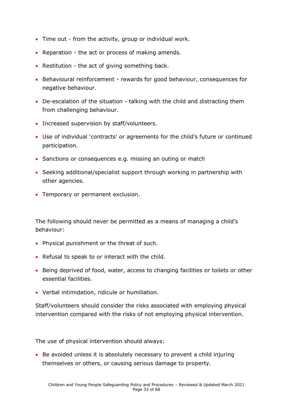- Time out from the activity, group or individual work.
- Reparation the act or process of making amends.
- Restitution the act of giving something back.
- Behavioural reinforcement rewards for good behaviour, consequences for negative behaviour.
- De-escalation of the situation talking with the child and distracting them from challenging behaviour.
- Increased supervision by staff/volunteers.
- Use of individual 'contracts' or agreements for the child's future or continued participation.
- Sanctions or consequences e.g. missing an outing or match
- Seeking additional/specialist support through working in partnership with other agencies.
- Temporary or permanent exclusion.

The following should never be permitted as a means of managing a child's behaviour:

- Physical punishment or the threat of such.
- Refusal to speak to or interact with the child.
- Being deprived of food, water, access to changing facilities or toilets or other essential facilities.
- Verbal intimidation, ridicule or humiliation.

Staff/volunteers should consider the risks associated with employing physical intervention compared with the risks of not employing physical intervention.

The use of physical intervention should always:

• Be avoided unless it is absolutely necessary to prevent a child injuring themselves or others, or causing serious damage to property.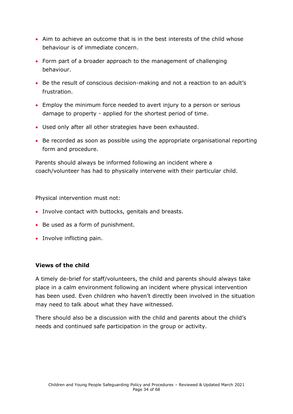- Aim to achieve an outcome that is in the best interests of the child whose behaviour is of immediate concern.
- Form part of a broader approach to the management of challenging behaviour.
- Be the result of conscious decision-making and not a reaction to an adult's frustration.
- Employ the minimum force needed to avert injury to a person or serious damage to property - applied for the shortest period of time.
- Used only after all other strategies have been exhausted.
- Be recorded as soon as possible using the appropriate organisational reporting form and procedure.

Parents should always be informed following an incident where a coach/volunteer has had to physically intervene with their particular child.

Physical intervention must not:

- Involve contact with buttocks, genitals and breasts.
- Be used as a form of punishment.
- Involve inflicting pain.

#### **Views of the child**

A timely de-brief for staff/volunteers, the child and parents should always take place in a calm environment following an incident where physical intervention has been used. Even children who haven't directly been involved in the situation may need to talk about what they have witnessed.

There should also be a discussion with the child and parents about the child's needs and continued safe participation in the group or activity.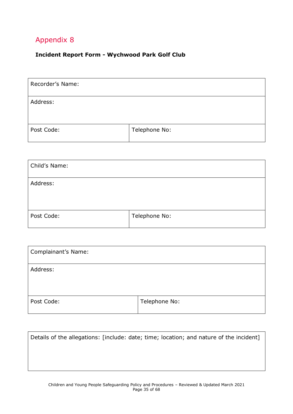#### <span id="page-34-0"></span>**Incident Report Form - Wychwood Park Golf Club**

| Recorder's Name: |               |
|------------------|---------------|
| Address:         |               |
| Post Code:       | Telephone No: |

| Child's Name: |               |
|---------------|---------------|
| Address:      |               |
| Post Code:    | Telephone No: |

| Complainant's Name: |               |
|---------------------|---------------|
| Address:            |               |
| Post Code:          | Telephone No: |

|  | Details of the allegations: [include: date; time; location; and nature of the incident] |
|--|-----------------------------------------------------------------------------------------|
|  |                                                                                         |
|  |                                                                                         |
|  |                                                                                         |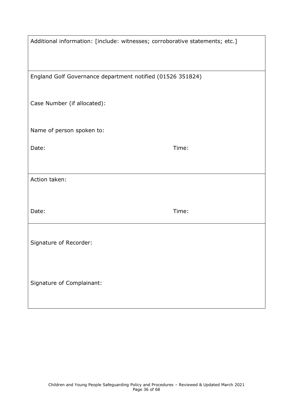| Additional information: [include: witnesses; corroborative statements; etc.] |       |
|------------------------------------------------------------------------------|-------|
| England Golf Governance department notified (01526 351824)                   |       |
| Case Number (if allocated):                                                  |       |
| Name of person spoken to:                                                    |       |
| Date:                                                                        | Time: |
| Action taken:                                                                |       |
| Date:                                                                        | Time: |
| Signature of Recorder:                                                       |       |
| Signature of Complainant:                                                    |       |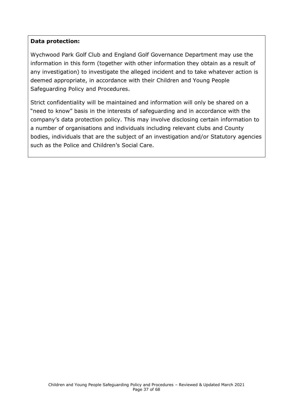#### **Data protection:**

Wychwood Park Golf Club and England Golf Governance Department may use the information in this form (together with other information they obtain as a result of any investigation) to investigate the alleged incident and to take whatever action is deemed appropriate, in accordance with their Children and Young People Safeguarding Policy and Procedures.

<span id="page-36-0"></span>Strict confidentiality will be maintained and information will only be shared on a "need to know" basis in the interests of safeguarding and in accordance with the company's data protection policy. This may involve disclosing certain information to a number of organisations and individuals including relevant clubs and County bodies, individuals that are the subject of an investigation and/or Statutory agencies such as the Police and Children's Social Care.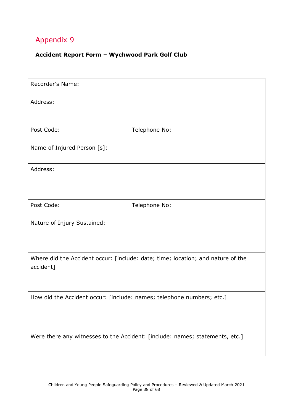#### **Accident Report Form – Wychwood Park Golf Club**

| Recorder's Name:                                                                             |               |  |
|----------------------------------------------------------------------------------------------|---------------|--|
| Address:                                                                                     |               |  |
|                                                                                              |               |  |
| Post Code:                                                                                   | Telephone No: |  |
| Name of Injured Person [s]:                                                                  |               |  |
| Address:                                                                                     |               |  |
|                                                                                              |               |  |
| Post Code:                                                                                   | Telephone No: |  |
| Nature of Injury Sustained:                                                                  |               |  |
|                                                                                              |               |  |
| Where did the Accident occur: [include: date; time; location; and nature of the<br>accident] |               |  |
|                                                                                              |               |  |
| How did the Accident occur: [include: names; telephone numbers; etc.]                        |               |  |
|                                                                                              |               |  |
| Were there any witnesses to the Accident: [include: names; statements, etc.]                 |               |  |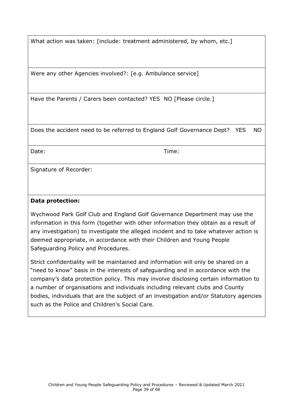What action was taken: [include: treatment administered, by whom, etc.]

Were any other Agencies involved?: [e.g. Ambulance service]

Have the Parents / Carers been contacted? YES NO [Please circle.]

Does the accident need to be referred to England Golf Governance Dept? YES NO

Date: Time:

Signature of Recorder:

#### **Data protection:**

Wychwood Park Golf Club and England Golf Governance Department may use the information in this form (together with other information they obtain as a result of any investigation) to investigate the alleged incident and to take whatever action is deemed appropriate, in accordance with their Children and Young People Safeguarding Policy and Procedures.

Strict confidentiality will be maintained and information will only be shared on a "need to know" basis in the interests of safeguarding and in accordance with the company's data protection policy. This may involve disclosing certain information to a number of organisations and individuals including relevant clubs and County bodies, individuals that are the subject of an investigation and/or Statutory agencies such as the Police and Children's Social Care.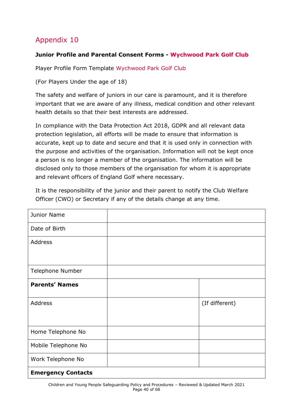#### <span id="page-39-0"></span>**Junior Profile and Parental Consent Forms - Wychwood Park Golf Club**

Player Profile Form Template Wychwood Park Golf Club

(For Players Under the age of 18)

The safety and welfare of juniors in our care is paramount, and it is therefore important that we are aware of any illness, medical condition and other relevant health details so that their best interests are addressed.

In compliance with the Data Protection Act 2018, GDPR and all relevant data protection legislation, all efforts will be made to ensure that information is accurate, kept up to date and secure and that it is used only in connection with the purpose and activities of the organisation. Information will not be kept once a person is no longer a member of the organisation. The information will be disclosed only to those members of the organisation for whom it is appropriate and relevant officers of England Golf where necessary.

It is the responsibility of the junior and their parent to notify the Club Welfare Officer (CWO) or Secretary if any of the details change at any time.

| Junior Name               |                |
|---------------------------|----------------|
| Date of Birth             |                |
| <b>Address</b>            |                |
|                           |                |
| Telephone Number          |                |
| <b>Parents' Names</b>     |                |
| <b>Address</b>            | (If different) |
|                           |                |
| Home Telephone No         |                |
| Mobile Telephone No       |                |
| Work Telephone No         |                |
| <b>Emergency Contacts</b> |                |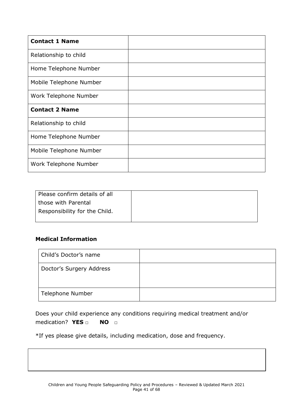| <b>Contact 1 Name</b>   |  |
|-------------------------|--|
| Relationship to child   |  |
| Home Telephone Number   |  |
| Mobile Telephone Number |  |
| Work Telephone Number   |  |
| <b>Contact 2 Name</b>   |  |
| Relationship to child   |  |
| Home Telephone Number   |  |
| Mobile Telephone Number |  |
| Work Telephone Number   |  |

| Please confirm details of all |  |
|-------------------------------|--|
| those with Parental           |  |
| Responsibility for the Child. |  |
|                               |  |

#### **Medical Information**

| Child's Doctor's name    |  |
|--------------------------|--|
| Doctor's Surgery Address |  |
| Telephone Number         |  |

Does your child experience any conditions requiring medical treatment and/or medication? **YES □ NO □**

\*If yes please give details, including medication, dose and frequency.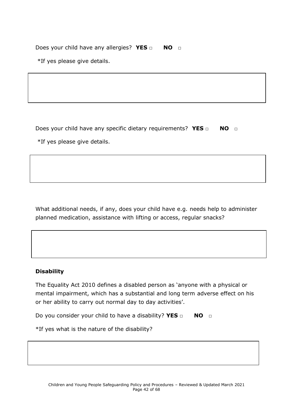Does your child have any allergies? **YES** □ **NO** □

\*If yes please give details.

Does your child have any specific dietary requirements? YES □ NO □

\*If yes please give details.

What additional needs, if any, does your child have e.g. needs help to administer planned medication, assistance with lifting or access, regular snacks?

#### **Disability**

The Equality Act 2010 defines a disabled person as 'anyone with a physical or mental impairment, which has a substantial and long term adverse effect on his or her ability to carry out normal day to day activities'.

Do you consider your child to have a disability? **YES □ NO □**

\*If yes what is the nature of the disability?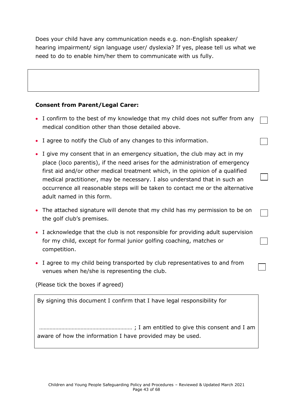Does your child have any communication needs e.g. non-English speaker/ hearing impairment/ sign language user/ dyslexia? If yes, please tell us what we need to do to enable him/her them to communicate with us fully.

#### **Consent from Parent/Legal Carer:**

- I confirm to the best of my knowledge that my child does not suffer from any medical condition other than those detailed above.
- I agree to notify the Club of any changes to this information.
- I give my consent that in an emergency situation, the club may act in my place (loco parentis), if the need arises for the administration of emergency first aid and/or other medical treatment which, in the opinion of a qualified medical practitioner, may be necessary. I also understand that in such an occurrence all reasonable steps will be taken to contact me or the alternative adult named in this form.
- The attached signature will denote that my child has my permission to be on the golf club's premises.
- I acknowledge that the club is not responsible for providing adult supervision for my child, except for formal junior golfing coaching, matches or competition.
- I agree to my child being transported by club representatives to and from venues when he/she is representing the club.

(Please tick the boxes if agreed)

By signing this document I confirm that I have legal responsibility for

……………………………………………………… ; I am entitled to give this consent and I am aware of how the information I have provided may be used.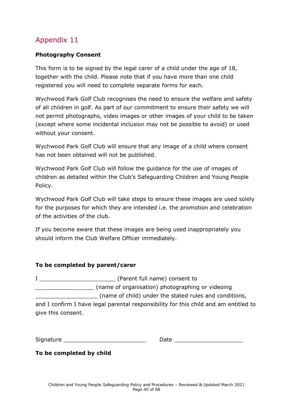#### <span id="page-44-0"></span>**Photography Consent**

This form is to be signed by the legal carer of a child under the age of 18, together with the child. Please note that if you have more than one child registered you will need to complete separate forms for each.

Wychwood Park Golf Club recognises the need to ensure the welfare and safety of all children in golf. As part of our commitment to ensure their safety we will not permit photographs, video images or other images of your child to be taken (except where some incidental inclusion may not be possible to avoid) or used without your consent.

Wychwood Park Golf Club will ensure that any image of a child where consent has not been obtained will not be published.

Wychwood Park Golf Club will follow the guidance for the use of images of children as detailed within the Club's Safeguarding Children and Young People Policy.

Wychwood Park Golf Club will take steps to ensure these images are used solely for the purposes for which they are intended i.e. the promotion and celebration of the activities of the club.

If you become aware that these images are being used inappropriately you should inform the Club Welfare Officer immediately.

#### **To be completed by parent/carer**

I \_\_\_\_\_\_\_\_\_\_\_\_\_\_\_\_\_\_\_\_\_\_ (Parent full name) consent to \_\_\_\_\_\_\_\_\_\_\_\_\_\_\_\_\_ (name of organisation) photographing or videoing \_\_\_\_\_\_\_\_\_\_\_\_\_\_\_\_\_\_ (name of child) under the stated rules and conditions, and I confirm I have legal parental responsibility for this child and am entitled to give this consent.

| <b>.</b><br>- 16<br>יוכ | ____ |
|-------------------------|------|
|                         |      |

#### **To be completed by child**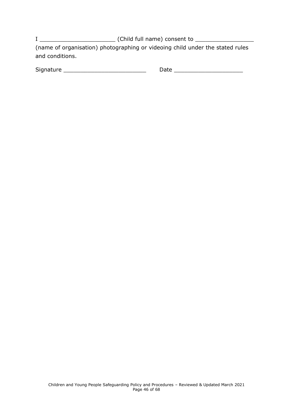I \_\_\_\_\_\_\_\_\_\_\_\_\_\_\_\_\_\_\_\_\_\_ (Child full name) consent to \_\_\_\_\_\_\_\_\_\_\_\_\_\_\_\_\_ (name of organisation) photographing or videoing child under the stated rules and conditions.

<span id="page-45-0"></span>

| ~<br>----<br>.<br>¬.<br>ັັ<br><b>Service</b> |  |
|----------------------------------------------|--|
|----------------------------------------------|--|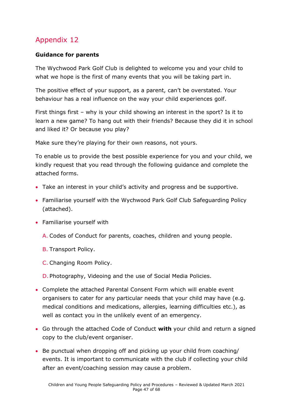#### **Guidance for parents**

The Wychwood Park Golf Club is delighted to welcome you and your child to what we hope is the first of many events that you will be taking part in.

The positive effect of your support, as a parent, can't be overstated. Your behaviour has a real influence on the way your child experiences golf.

First things first – why is your child showing an interest in the sport? Is it to learn a new game? To hang out with their friends? Because they did it in school and liked it? Or because you play?

Make sure they're playing for their own reasons, not yours.

To enable us to provide the best possible experience for you and your child, we kindly request that you read through the following guidance and complete the attached forms.

- Take an interest in your child's activity and progress and be supportive.
- Familiarise yourself with the Wychwood Park Golf Club Safeguarding Policy (attached).
- Familiarise yourself with
	- A. Codes of Conduct for parents, coaches, children and young people.
	- B. Transport Policy.
	- C. Changing Room Policy.
	- D. Photography, Videoing and the use of Social Media Policies.
- Complete the attached Parental Consent Form which will enable event organisers to cater for any particular needs that your child may have (e.g. medical conditions and medications, allergies, learning difficulties etc.), as well as contact you in the unlikely event of an emergency.
- Go through the attached Code of Conduct **with** your child and return a signed copy to the club/event organiser.
- Be punctual when dropping off and picking up your child from coaching/ events. It is important to communicate with the club if collecting your child after an event/coaching session may cause a problem.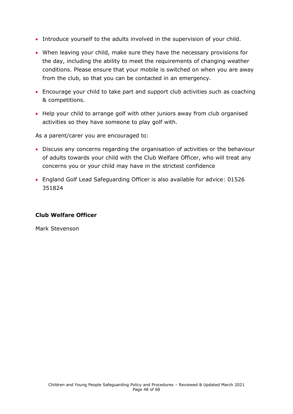- Introduce yourself to the adults involved in the supervision of your child.
- When leaving your child, make sure they have the necessary provisions for the day, including the ability to meet the requirements of changing weather conditions. Please ensure that your mobile is switched on when you are away from the club, so that you can be contacted in an emergency.
- Encourage your child to take part and support club activities such as coaching & competitions.
- Help your child to arrange golf with other juniors away from club organised activities so they have someone to play golf with.

As a parent/carer you are encouraged to:

- Discuss any concerns regarding the organisation of activities or the behaviour of adults towards your child with the Club Welfare Officer, who will treat any concerns you or your child may have in the strictest confidence
- England Golf Lead Safeguarding Officer is also available for advice: 01526 351824

#### **Club Welfare Officer**

<span id="page-47-0"></span>Mark Stevenson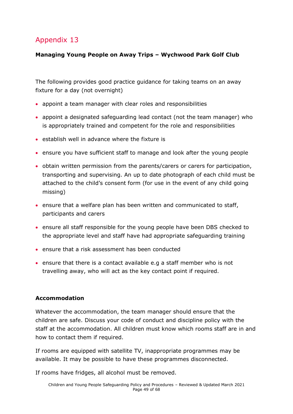#### **Managing Young People on Away Trips – Wychwood Park Golf Club**

The following provides good practice guidance for taking teams on an away fixture for a day (not overnight)

- appoint a team manager with clear roles and responsibilities
- appoint a designated safeguarding lead contact (not the team manager) who is appropriately trained and competent for the role and responsibilities
- establish well in advance where the fixture is
- ensure you have sufficient staff to manage and look after the young people
- obtain written permission from the parents/carers or carers for participation, transporting and supervising. An up to date photograph of each child must be attached to the child's consent form (for use in the event of any child going missing)
- ensure that a welfare plan has been written and communicated to staff, participants and carers
- ensure all staff responsible for the young people have been DBS checked to the appropriate level and staff have had appropriate safeguarding training
- ensure that a risk assessment has been conducted
- ensure that there is a contact available e.g a staff member who is not travelling away, who will act as the key contact point if required.

#### **Accommodation**

Whatever the accommodation, the team manager should ensure that the children are safe. Discuss your code of conduct and discipline policy with the staff at the accommodation. All children must know which rooms staff are in and how to contact them if required.

If rooms are equipped with satellite TV, inappropriate programmes may be available. It may be possible to have these programmes disconnected.

If rooms have fridges, all alcohol must be removed.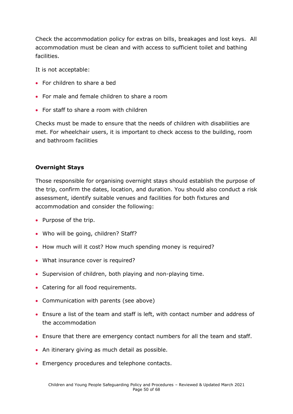Check the accommodation policy for extras on bills, breakages and lost keys. All accommodation must be clean and with access to sufficient toilet and bathing facilities.

It is not acceptable:

- For children to share a bed
- For male and female children to share a room
- For staff to share a room with children

Checks must be made to ensure that the needs of children with disabilities are met. For wheelchair users, it is important to check access to the building, room and bathroom facilities

#### **Overnight Stays**

Those responsible for organising overnight stays should establish the purpose of the trip, confirm the dates, location, and duration. You should also conduct a risk assessment, identify suitable venues and facilities for both fixtures and accommodation and consider the following:

- Purpose of the trip.
- Who will be going, children? Staff?
- How much will it cost? How much spending money is required?
- What insurance cover is required?
- Supervision of children, both playing and non-playing time.
- Catering for all food requirements.
- Communication with parents (see above)
- Ensure a list of the team and staff is left, with contact number and address of the accommodation
- Ensure that there are emergency contact numbers for all the team and staff.
- An itinerary giving as much detail as possible.
- Emergency procedures and telephone contacts.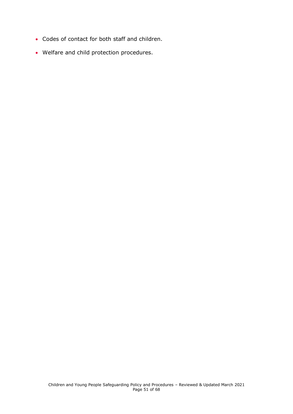- Codes of contact for both staff and children.
- <span id="page-50-0"></span>• Welfare and child protection procedures.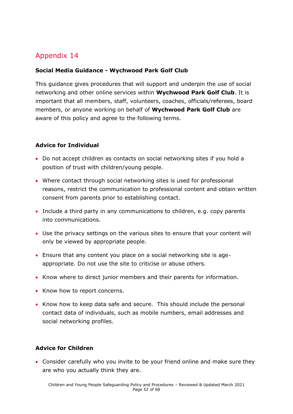#### **Social Media Guidance - Wychwood Park Golf Club**

This guidance gives procedures that will support and underpin the use of social networking and other online services within **Wychwood Park Golf Club**. It is important that all members, staff, volunteers, coaches, officials/referees, board members, or anyone working on behalf of **Wychwood Park Golf Club** are aware of this policy and agree to the following terms.

#### **Advice for Individual**

- Do not accept children as contacts on social networking sites if you hold a position of trust with children/young people.
- Where contact through social networking sites is used for professional reasons, restrict the communication to professional content and obtain written consent from parents prior to establishing contact.
- Include a third party in any communications to children, e.g. copy parents into communications.
- Use the privacy settings on the various sites to ensure that your content will only be viewed by appropriate people.
- Ensure that any content you place on a social networking site is ageappropriate. Do not use the site to criticise or abuse others.
- Know where to direct junior members and their parents for information.
- Know how to report concerns.
- Know how to keep data safe and secure. This should include the personal contact data of individuals, such as mobile numbers, email addresses and social networking profiles.

#### **Advice for Children**

• Consider carefully who you invite to be your friend online and make sure they are who you actually think they are.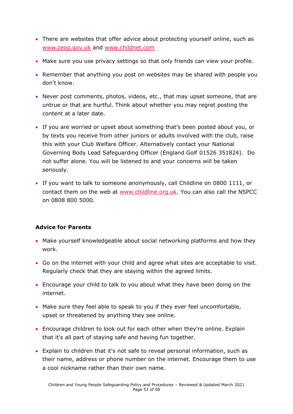- There are websites that offer advice about protecting yourself online, such as [www.ceop.gov.uk](http://www.ceop.gov.uk/) and [www.childnet.com](http://www.childnet.com/)
- Make sure you use privacy settings so that only friends can view your profile.
- Remember that anything you post on websites may be shared with people you don't know.
- Never post comments, photos, videos, etc., that may upset someone, that are untrue or that are hurtful. Think about whether you may regret posting the content at a later date.
- If you are worried or upset about something that's been posted about you, or by texts you receive from other juniors or adults involved with the club, raise this with your Club Welfare Officer. Alternatively contact your National Governing Body Lead Safeguarding Officer (England Golf 01526 351824). Do not suffer alone. You will be listened to and your concerns will be taken seriously.
- If you want to talk to someone anonymously, call Childline on 0800 1111, or contact them on the web at [www.childline.org.uk.](http://www.childline.org.uk/) You can also call the NSPCC on 0808 800 5000.

#### **Advice for Parents**

- Make yourself knowledgeable about social networking platforms and how they work.
- Go on the internet with your child and agree what sites are acceptable to visit. Regularly check that they are staying within the agreed limits.
- Encourage your child to talk to you about what they have been doing on the internet.
- Make sure they feel able to speak to you if they ever feel uncomfortable, upset or threatened by anything they see online.
- Encourage children to look out for each other when they're online. Explain that it's all part of staying safe and having fun together.
- Explain to children that it's not safe to reveal personal information, such as their name, address or phone number on the internet. Encourage them to use a cool nickname rather than their own name.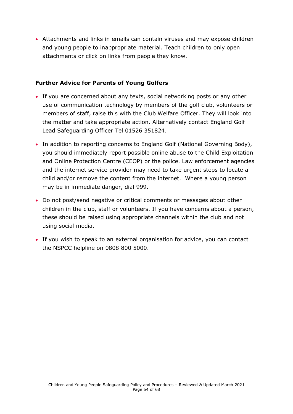• Attachments and links in emails can contain viruses and may expose children and young people to inappropriate material. Teach children to only open attachments or click on links from people they know.

#### **Further Advice for Parents of Young Golfers**

- If you are concerned about any texts, social networking posts or any other use of communication technology by members of the golf club, volunteers or members of staff, raise this with the Club Welfare Officer. They will look into the matter and take appropriate action. Alternatively contact England Golf Lead Safeguarding Officer Tel 01526 351824.
- In addition to reporting concerns to England Golf (National Governing Body), you should immediately report possible online abuse to the Child Exploitation and Online Protection Centre (CEOP) or the police. Law enforcement agencies and the internet service provider may need to take urgent steps to locate a child and/or remove the content from the internet. Where a young person may be in immediate danger, dial 999.
- Do not post/send negative or critical comments or messages about other children in the club, staff or volunteers. If you have concerns about a person, these should be raised using appropriate channels within the club and not using social media.
- <span id="page-53-0"></span>• If you wish to speak to an external organisation for advice, you can contact the NSPCC helpline on 0808 800 5000.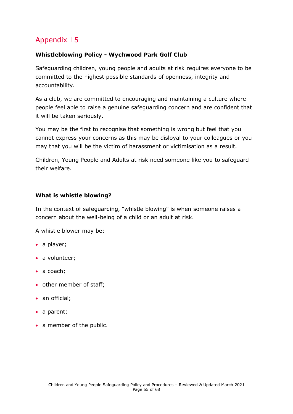#### **Whistleblowing Policy - Wychwood Park Golf Club**

Safeguarding children, young people and adults at risk requires everyone to be committed to the highest possible standards of openness, integrity and accountability.

As a club, we are committed to encouraging and maintaining a culture where people feel able to raise a genuine safeguarding concern and are confident that it will be taken seriously.

You may be the first to recognise that something is wrong but feel that you cannot express your concerns as this may be disloyal to your colleagues or you may that you will be the victim of harassment or victimisation as a result.

Children, Young People and Adults at risk need someone like you to safeguard their welfare.

#### **What is whistle blowing?**

In the context of safeguarding, "whistle blowing" is when someone raises a concern about the well-being of a child or an adult at risk.

A whistle blower may be:

- a player;
- a volunteer;
- a coach;
- other member of staff;
- an official;
- a parent;
- a member of the public.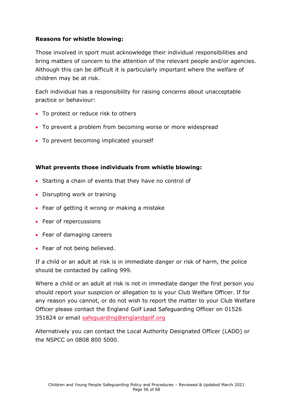#### **Reasons for whistle blowing:**

Those involved in sport must acknowledge their individual responsibilities and bring matters of concern to the attention of the relevant people and/or agencies. Although this can be difficult it is particularly important where the welfare of children may be at risk.

Each individual has a responsibility for raising concerns about unacceptable practice or behaviour:

- To protect or reduce risk to others
- To prevent a problem from becoming worse or more widespread
- To prevent becoming implicated yourself

#### **What prevents those individuals from whistle blowing:**

- Starting a chain of events that they have no control of
- Disrupting work or training
- Fear of getting it wrong or making a mistake
- Fear of repercussions
- Fear of damaging careers
- Fear of not being believed.

If a child or an adult at risk is in immediate danger or risk of harm, the police should be contacted by calling 999.

Where a child or an adult at risk is not in immediate danger the first person you should report your suspicion or allegation to is your Club Welfare Officer. If for any reason you cannot, or do not wish to report the matter to your Club Welfare Officer please contact the England Golf Lead Safeguarding Officer on 01526 351824 or email [safeguarding@englandgolf.org](mailto:safeguarding@englandgolf.org)

Alternatively you can contact the Local Authority Designated Officer (LADO) or the NSPCC on 0808 800 5000.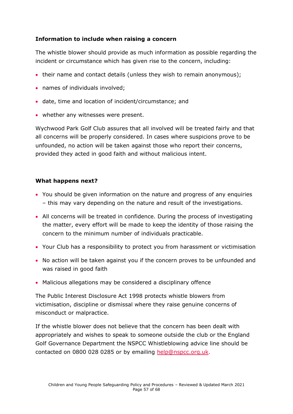#### **Information to include when raising a concern**

The whistle blower should provide as much information as possible regarding the incident or circumstance which has given rise to the concern, including:

- their name and contact details (unless they wish to remain anonymous):
- names of individuals involved;
- date, time and location of incident/circumstance; and
- whether any witnesses were present.

Wychwood Park Golf Club assures that all involved will be treated fairly and that all concerns will be properly considered. In cases where suspicions prove to be unfounded, no action will be taken against those who report their concerns, provided they acted in good faith and without malicious intent.

#### **What happens next?**

- You should be given information on the nature and progress of any enquiries – this may vary depending on the nature and result of the investigations.
- All concerns will be treated in confidence. During the process of investigating the matter, every effort will be made to keep the identity of those raising the concern to the minimum number of individuals practicable.
- Your Club has a responsibility to protect you from harassment or victimisation
- No action will be taken against you if the concern proves to be unfounded and was raised in good faith
- Malicious allegations may be considered a disciplinary offence

The Public Interest Disclosure Act 1998 protects whistle blowers from victimisation, discipline or dismissal where they raise genuine concerns of misconduct or malpractice.

If the whistle blower does not believe that the concern has been dealt with appropriately and wishes to speak to someone outside the club or the England Golf Governance Department the NSPCC Whistleblowing advice line should be contacted on 0800 028 0285 or by emailing [help@nspcc.org.uk.](mailto:help@nspcc.org.uk)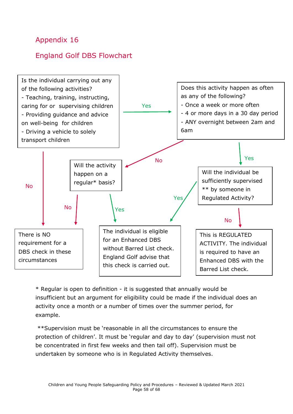### <span id="page-57-0"></span>England Golf DBS Flowchart



\* Regular is open to definition - it is suggested that annually would be insufficient but an argument for eligibility could be made if the individual does an activity once a month or a number of times over the summer period, for example.

\*\*Supervision must be 'reasonable in all the circumstances to ensure the protection of children'. It must be 'regular and day to day' (supervision must not be concentrated in first few weeks and then tail off). Supervision must be undertaken by someone who is in Regulated Activity themselves.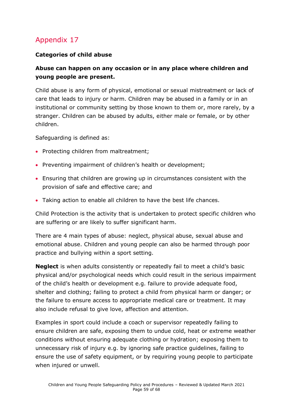#### **Categories of child abuse**

#### **Abuse can happen on any occasion or in any place where children and young people are present.**

Child abuse is any form of physical, emotional or sexual mistreatment or lack of care that leads to injury or harm. Children may be abused in a family or in an institutional or community setting by those known to them or, more rarely, by a stranger. Children can be abused by adults, either male or female, or by other children.

Safeguarding is defined as:

- Protecting children from maltreatment;
- Preventing impairment of children's health or development;
- Ensuring that children are growing up in circumstances consistent with the provision of safe and effective care; and
- Taking action to enable all children to have the best life chances.

Child Protection is the activity that is undertaken to protect specific children who are suffering or are likely to suffer significant harm.

There are 4 main types of abuse: neglect, physical abuse, sexual abuse and emotional abuse. Children and young people can also be harmed through poor practice and bullying within a sport setting.

**Neglect** is when adults consistently or repeatedly fail to meet a child's basic physical and/or psychological needs which could result in the serious impairment of the child's health or development e.g. failure to provide adequate food, shelter and clothing; failing to protect a child from physical harm or danger; or the failure to ensure access to appropriate medical care or treatment. It may also include refusal to give love, affection and attention.

Examples in sport could include a coach or supervisor repeatedly failing to ensure children are safe, exposing them to undue cold, heat or extreme weather conditions without ensuring adequate clothing or hydration; exposing them to unnecessary risk of injury e.g. by ignoring safe practice guidelines, failing to ensure the use of safety equipment, or by requiring young people to participate when injured or unwell.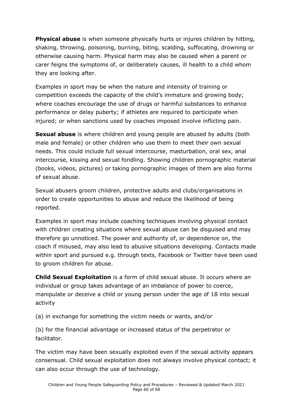**Physical abuse** is when someone physically hurts or injures children by hitting, shaking, throwing, poisoning, burning, biting, scalding, suffocating, drowning or otherwise causing harm. Physical harm may also be caused when a parent or carer feigns the symptoms of, or deliberately causes, ill health to a child whom they are looking after.

Examples in sport may be when the nature and intensity of training or competition exceeds the capacity of the child's immature and growing body; where coaches encourage the use of drugs or harmful substances to enhance performance or delay puberty; if athletes are required to participate when injured; or when sanctions used by coaches imposed involve inflicting pain.

**Sexual abuse** is where children and young people are abused by adults (both male and female) or other children who use them to meet their own sexual needs. This could include full sexual intercourse, masturbation, oral sex, anal intercourse, kissing and sexual fondling. Showing children pornographic material (books, videos, pictures) or taking pornographic images of them are also forms of sexual abuse.

Sexual abusers groom children, protective adults and clubs/organisations in order to create opportunities to abuse and reduce the likelihood of being reported.

Examples in sport may include coaching techniques involving physical contact with children creating situations where sexual abuse can be disguised and may therefore go unnoticed. The power and authority of, or dependence on, the coach if misused, may also lead to abusive situations developing. Contacts made within sport and pursued e.g. through texts, Facebook or Twitter have been used to groom children for abuse.

**Child Sexual Exploitation** is a form of child sexual abuse. It occurs where an individual or group takes advantage of an imbalance of power to coerce, manipulate or deceive a child or young person under the age of 18 into sexual activity

(a) in exchange for something the victim needs or wants, and/or

(b) for the financial advantage or increased status of the perpetrator or facilitator.

The victim may have been sexually exploited even if the sexual activity appears consensual. Child sexual exploitation does not always involve physical contact; it can also occur through the use of technology.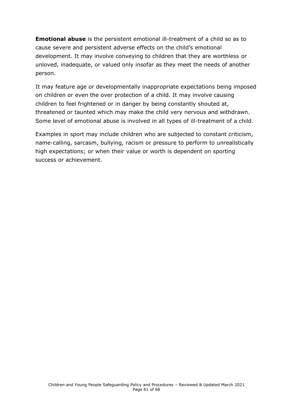**Emotional abuse** is the persistent emotional ill-treatment of a child so as to cause severe and persistent adverse effects on the child's emotional development. It may involve conveying to children that they are worthless or unloved, inadequate, or valued only insofar as they meet the needs of another person.

It may feature age or developmentally inappropriate expectations being imposed on children or even the over protection of a child. It may involve causing children to feel frightened or in danger by being constantly shouted at, threatened or taunted which may make the child very nervous and withdrawn. Some level of emotional abuse is involved in all types of ill-treatment of a child.

Examples in sport may include children who are subjected to constant criticism, name-calling, sarcasm, bullying, racism or pressure to perform to unrealistically high expectations; or when their value or worth is dependent on sporting success or achievement.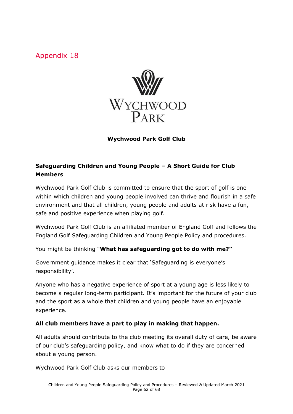<span id="page-61-0"></span>

#### **Wychwood Park Golf Club**

### **Safeguarding Children and Young People – A Short Guide for Club Members**

Wychwood Park Golf Club is committed to ensure that the sport of golf is one within which children and young people involved can thrive and flourish in a safe environment and that all children, young people and adults at risk have a fun, safe and positive experience when playing golf.

Wychwood Park Golf Club is an affiliated member of England Golf and follows the England Golf Safeguarding Children and Young People Policy and procedures.

You might be thinking "**What has safeguarding got to do with me?"**

Government guidance makes it clear that 'Safeguarding is everyone's responsibility'.

Anyone who has a negative experience of sport at a young age is less likely to become a regular long-term participant. It's important for the future of your club and the sport as a whole that children and young people have an enjoyable experience.

#### **All club members have a part to play in making that happen.**

All adults should contribute to the club meeting its overall duty of care, be aware of our club's safeguarding policy, and know what to do if they are concerned about a young person.

Wychwood Park Golf Club asks our members to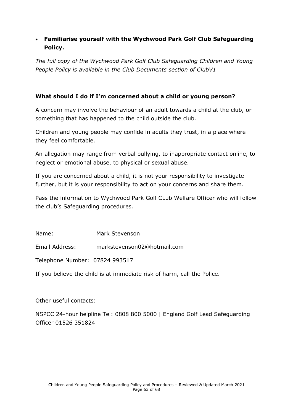#### • **Familiarise yourself with the Wychwood Park Golf Club Safeguarding Policy.**

*The full copy of the Wychwood Park Golf Club Safeguarding Children and Young People Policy is available in the Club Documents section of ClubV1*

#### **What should I do if I'm concerned about a child or young person?**

A concern may involve the behaviour of an adult towards a child at the club, or something that has happened to the child outside the club.

Children and young people may confide in adults they trust, in a place where they feel comfortable.

An allegation may range from verbal bullying, to inappropriate contact online, to neglect or emotional abuse, to physical or sexual abuse.

If you are concerned about a child, it is not your responsibility to investigate further, but it is your responsibility to act on your concerns and share them.

Pass the information to Wychwood Park Golf CLub Welfare Officer who will follow the club's Safeguarding procedures.

Name: Mark Stevenson

Email Address: markstevenson02@hotmail.com

Telephone Number: 07824 993517

If you believe the child is at immediate risk of harm, call the Police.

Other useful contacts:

NSPCC 24-hour helpline Tel: 0808 800 5000 | England Golf Lead Safeguarding Officer 01526 351824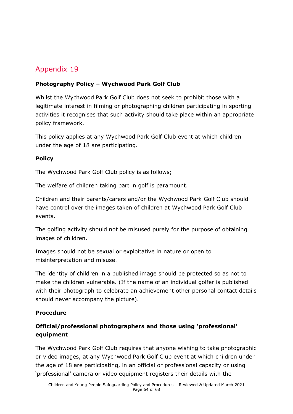#### <span id="page-63-0"></span>**Photography Policy – Wychwood Park Golf Club**

Whilst the Wychwood Park Golf Club does not seek to prohibit those with a legitimate interest in filming or photographing children participating in sporting activities it recognises that such activity should take place within an appropriate policy framework.

This policy applies at any Wychwood Park Golf Club event at which children under the age of 18 are participating.

#### **Policy**

The Wychwood Park Golf Club policy is as follows;

The welfare of children taking part in golf is paramount.

Children and their parents/carers and/or the Wychwood Park Golf Club should have control over the images taken of children at Wychwood Park Golf Club events.

The golfing activity should not be misused purely for the purpose of obtaining images of children.

Images should not be sexual or exploitative in nature or open to misinterpretation and misuse.

The identity of children in a published image should be protected so as not to make the children vulnerable. (If the name of an individual golfer is published with their photograph to celebrate an achievement other personal contact details should never accompany the picture).

#### **Procedure**

#### **Official/professional photographers and those using 'professional' equipment**

The Wychwood Park Golf Club requires that anyone wishing to take photographic or video images, at any Wychwood Park Golf Club event at which children under the age of 18 are participating, in an official or professional capacity or using 'professional' camera or video equipment registers their details with the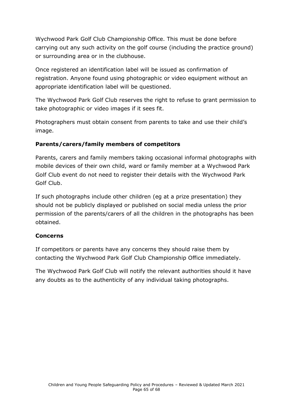Wychwood Park Golf Club Championship Office. This must be done before carrying out any such activity on the golf course (including the practice ground) or surrounding area or in the clubhouse.

Once registered an identification label will be issued as confirmation of registration. Anyone found using photographic or video equipment without an appropriate identification label will be questioned.

The Wychwood Park Golf Club reserves the right to refuse to grant permission to take photographic or video images if it sees fit.

Photographers must obtain consent from parents to take and use their child's image.

#### **Parents/carers/family members of competitors**

Parents, carers and family members taking occasional informal photographs with mobile devices of their own child, ward or family member at a Wychwood Park Golf Club event do not need to register their details with the Wychwood Park Golf Club.

If such photographs include other children (eg at a prize presentation) they should not be publicly displayed or published on social media unless the prior permission of the parents/carers of all the children in the photographs has been obtained.

#### **Concerns**

If competitors or parents have any concerns they should raise them by contacting the Wychwood Park Golf Club Championship Office immediately.

The Wychwood Park Golf Club will notify the relevant authorities should it have any doubts as to the authenticity of any individual taking photographs.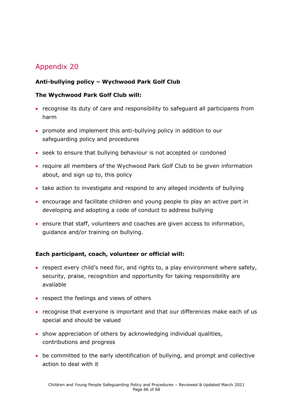#### <span id="page-65-0"></span>**Anti-bullying policy – Wychwood Park Golf Club**

#### **The Wychwood Park Golf Club will:**

- recognise its duty of care and responsibility to safeguard all participants from harm
- promote and implement this anti-bullying policy in addition to our safeguarding policy and procedures
- seek to ensure that bullying behaviour is not accepted or condoned
- require all members of the Wychwood Park Golf Club to be given information about, and sign up to, this policy
- take action to investigate and respond to any alleged incidents of bullying
- encourage and facilitate children and young people to play an active part in developing and adopting a code of conduct to address bullying
- ensure that staff, volunteers and coaches are given access to information, guidance and/or training on bullying.

#### **Each participant, coach, volunteer or official will:**

- respect every child's need for, and rights to, a play environment where safety, security, praise, recognition and opportunity for taking responsibility are available
- respect the feelings and views of others
- recognise that everyone is important and that our differences make each of us special and should be valued
- show appreciation of others by acknowledging individual qualities, contributions and progress
- be committed to the early identification of bullying, and prompt and collective action to deal with it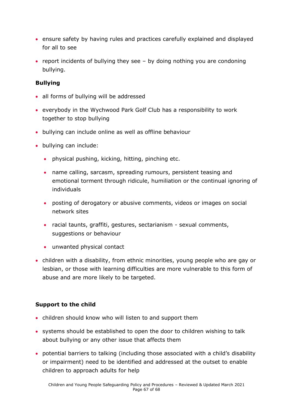- ensure safety by having rules and practices carefully explained and displayed for all to see
- report incidents of bullying they see by doing nothing you are condoning bullying.

#### **Bullying**

- all forms of bullying will be addressed
- everybody in the Wychwood Park Golf Club has a responsibility to work together to stop bullying
- bullying can include online as well as offline behaviour
- bullying can include:
	- physical pushing, kicking, hitting, pinching etc.
	- name calling, sarcasm, spreading rumours, persistent teasing and emotional torment through ridicule, humiliation or the continual ignoring of individuals
	- posting of derogatory or abusive comments, videos or images on social network sites
	- racial taunts, graffiti, gestures, sectarianism sexual comments, suggestions or behaviour
	- unwanted physical contact
- children with a disability, from ethnic minorities, young people who are gay or lesbian, or those with learning difficulties are more vulnerable to this form of abuse and are more likely to be targeted.

#### **Support to the child**

- children should know who will listen to and support them
- systems should be established to open the door to children wishing to talk about bullying or any other issue that affects them
- potential barriers to talking (including those associated with a child's disability or impairment) need to be identified and addressed at the outset to enable children to approach adults for help